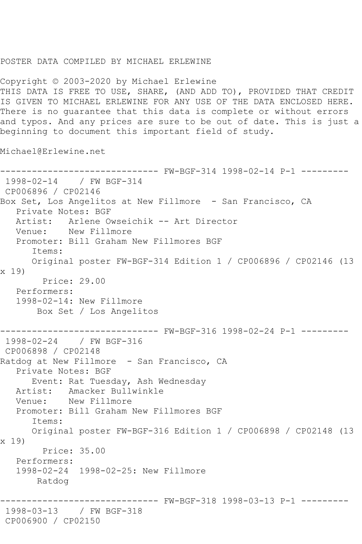## POSTER DATA COMPILED BY MICHAEL ERLEWINE

Copyright © 2003-2020 by Michael Erlewine THIS DATA IS FREE TO USE, SHARE, (AND ADD TO), PROVIDED THAT CREDIT IS GIVEN TO MICHAEL ERLEWINE FOR ANY USE OF THE DATA ENCLOSED HERE. There is no guarantee that this data is complete or without errors and typos. And any prices are sure to be out of date. This is just a beginning to document this important field of study.

Michael@Erlewine.net

```
------------------------------ FW-BGF-314 1998-02-14 P-1 ---------
1998-02-14 / FW BGF-314
CP006896 / CP02146
Box Set, Los Angelitos at New Fillmore - San Francisco, CA
  Private Notes: BGF<br>Artist: Arlene Ow
            Arlene Owseichik -- Art Director
   Venue: New Fillmore
   Promoter: Bill Graham New Fillmores BGF
       Items:
       Original poster FW-BGF-314 Edition 1 / CP006896 / CP02146 (13 
x 19)
         Price: 29.00
   Performers:
    1998-02-14: New Fillmore
        Box Set / Los Angelitos
         ------------------------------ FW-BGF-316 1998-02-24 P-1 ---------
1998-02-24 / FW BGF-316
CP006898 / CP02148
Ratdog at New Fillmore - San Francisco, CA
    Private Notes: BGF
       Event: Rat Tuesday, Ash Wednesday
   Artist: Amacker Bullwinkle
   Venue: New Fillmore
   Promoter: Bill Graham New Fillmores BGF
       Items:
       Original poster FW-BGF-316 Edition 1 / CP006898 / CP02148 (13 
x 19)
         Price: 35.00
   Performers:
    1998-02-24 1998-02-25: New Fillmore
        Ratdog
                      ------------------------------ FW-BGF-318 1998-03-13 P-1 ---------
1998-03-13 / FW BGF-318
CP006900 / CP02150
```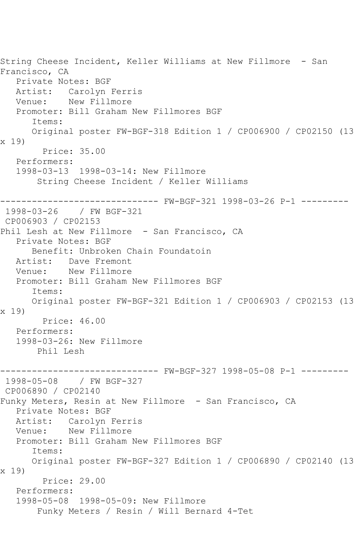String Cheese Incident, Keller Williams at New Fillmore - San Francisco, CA Private Notes: BGF Artist: Carolyn Ferris<br>Venue: New Fillmore New Fillmore Promoter: Bill Graham New Fillmores BGF Items: Original poster FW-BGF-318 Edition 1 / CP006900 / CP02150 (13 x 19) Price: 35.00 Performers: 1998-03-13 1998-03-14: New Fillmore String Cheese Incident / Keller Williams ------------------------------ FW-BGF-321 1998-03-26 P-1 --------- 1998-03-26 / FW BGF-321 CP006903 / CP02153 Phil Lesh at New Fillmore - San Francisco, CA Private Notes: BGF Benefit: Unbroken Chain Foundatoin Artist: Dave Fremont Venue: New Fillmore Promoter: Bill Graham New Fillmores BGF Items: Original poster FW-BGF-321 Edition 1 / CP006903 / CP02153 (13 x 19) Price: 46.00 Performers: 1998-03-26: New Fillmore Phil Lesh ------------------------------ FW-BGF-327 1998-05-08 P-1 --------- 1998-05-08 / FW BGF-327 CP006890 / CP02140 Funky Meters, Resin at New Fillmore - San Francisco, CA Private Notes: BGF Artist: Carolyn Ferris Venue: New Fillmore Promoter: Bill Graham New Fillmores BGF Items: Original poster FW-BGF-327 Edition 1 / CP006890 / CP02140 (13 x 19) Price: 29.00 Performers: 1998-05-08 1998-05-09: New Fillmore Funky Meters / Resin / Will Bernard 4-Tet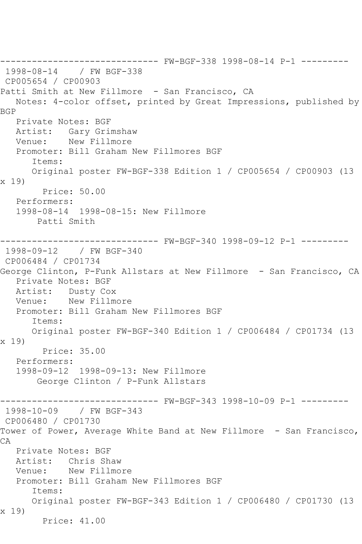------------------------------ FW-BGF-338 1998-08-14 P-1 --------- 1998-08-14 / FW BGF-338 CP005654 / CP00903 Patti Smith at New Fillmore - San Francisco, CA Notes: 4-color offset, printed by Great Impressions, published by BGP Private Notes: BGF Artist: Gary Grimshaw Venue: New Fillmore Promoter: Bill Graham New Fillmores BGF Items: Original poster FW-BGF-338 Edition 1 / CP005654 / CP00903 (13 x 19) Price: 50.00 Performers: 1998-08-14 1998-08-15: New Fillmore Patti Smith ------------------------------ FW-BGF-340 1998-09-12 P-1 --------- 1998-09-12 / FW BGF-340 CP006484 / CP01734 George Clinton, P-Funk Allstars at New Fillmore - San Francisco, CA Private Notes: BGF Artist: Dusty Cox Venue: New Fillmore Promoter: Bill Graham New Fillmores BGF Items: Original poster FW-BGF-340 Edition 1 / CP006484 / CP01734 (13 x 19) Price: 35.00 Performers: 1998-09-12 1998-09-13: New Fillmore George Clinton / P-Funk Allstars ------------------------------ FW-BGF-343 1998-10-09 P-1 --------- 1998-10-09 / FW BGF-343 CP006480 / CP01730 Tower of Power, Average White Band at New Fillmore - San Francisco, CA Private Notes: BGF Artist: Chris Shaw Venue: New Fillmore Promoter: Bill Graham New Fillmores BGF Items: Original poster FW-BGF-343 Edition 1 / CP006480 / CP01730 (13 x 19) Price: 41.00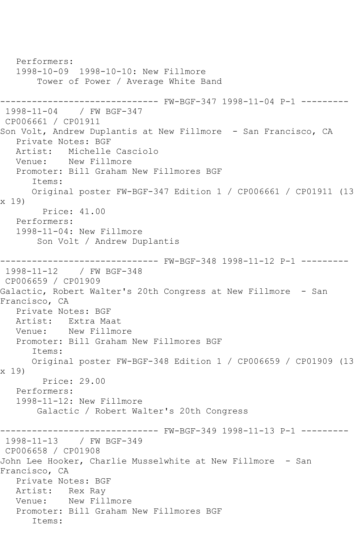```
 Performers:
   1998-10-09 1998-10-10: New Fillmore
       Tower of Power / Average White Band
------------------------------ FW-BGF-347 1998-11-04 P-1 ---------
1998-11-04 / FW BGF-347
CP006661 / CP01911
Son Volt, Andrew Duplantis at New Fillmore - San Francisco, CA
   Private Notes: BGF
   Artist: Michelle Casciolo
   Venue: New Fillmore
   Promoter: Bill Graham New Fillmores BGF
       Items:
      Original poster FW-BGF-347 Edition 1 / CP006661 / CP01911 (13 
x 19)
        Price: 41.00
   Performers:
   1998-11-04: New Fillmore
       Son Volt / Andrew Duplantis
------------------------------ FW-BGF-348 1998-11-12 P-1 ---------
1998-11-12 / FW BGF-348
CP006659 / CP01909
Galactic, Robert Walter's 20th Congress at New Fillmore - San 
Francisco, CA
   Private Notes: BGF
   Artist: Extra Maat
   Venue: New Fillmore
   Promoter: Bill Graham New Fillmores BGF
      Items:
      Original poster FW-BGF-348 Edition 1 / CP006659 / CP01909 (13 
x 19)
        Price: 29.00
   Performers:
   1998-11-12: New Fillmore
       Galactic / Robert Walter's 20th Congress
          ------------------------------ FW-BGF-349 1998-11-13 P-1 ---------
1998-11-13 / FW BGF-349
CP006658 / CP01908
John Lee Hooker, Charlie Musselwhite at New Fillmore - San 
Francisco, CA
   Private Notes: BGF
   Artist: Rex Ray
   Venue: New Fillmore
   Promoter: Bill Graham New Fillmores BGF
       Items:
```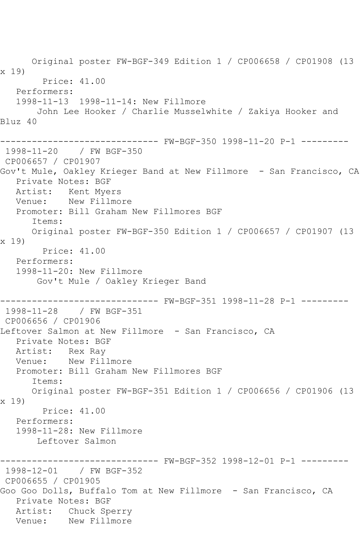Original poster FW-BGF-349 Edition 1 / CP006658 / CP01908 (13 x 19) Price: 41.00 Performers: 1998-11-13 1998-11-14: New Fillmore John Lee Hooker / Charlie Musselwhite / Zakiya Hooker and Bluz 40 ------------------------------ FW-BGF-350 1998-11-20 P-1 --------- 1998-11-20 / FW BGF-350 CP006657 / CP01907 Gov't Mule, Oakley Krieger Band at New Fillmore - San Francisco, CA Private Notes: BGF Artist: Kent Myers Venue: New Fillmore Promoter: Bill Graham New Fillmores BGF Items: Original poster FW-BGF-350 Edition 1 / CP006657 / CP01907 (13 x 19) Price: 41.00 Performers: 1998-11-20: New Fillmore Gov't Mule / Oakley Krieger Band ------------------------------ FW-BGF-351 1998-11-28 P-1 --------- 1998-11-28 / FW BGF-351 CP006656 / CP01906 Leftover Salmon at New Fillmore - San Francisco, CA Private Notes: BGF Artist: Rex Ray Venue: New Fillmore Promoter: Bill Graham New Fillmores BGF Items: Original poster FW-BGF-351 Edition 1 / CP006656 / CP01906 (13 x 19) Price: 41.00 Performers: 1998-11-28: New Fillmore Leftover Salmon ------------------------------ FW-BGF-352 1998-12-01 P-1 --------- 1998-12-01 / FW BGF-352 CP006655 / CP01905 Goo Goo Dolls, Buffalo Tom at New Fillmore - San Francisco, CA Private Notes: BGF Artist: Chuck Sperry Venue: New Fillmore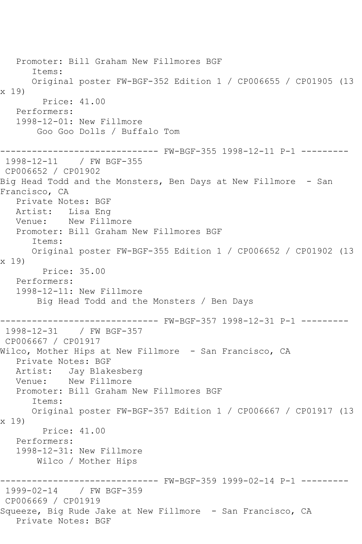Promoter: Bill Graham New Fillmores BGF Items: Original poster FW-BGF-352 Edition 1 / CP006655 / CP01905 (13 x 19) Price: 41.00 Performers: 1998-12-01: New Fillmore Goo Goo Dolls / Buffalo Tom ------------------------------ FW-BGF-355 1998-12-11 P-1 --------- 1998-12-11 / FW BGF-355 CP006652 / CP01902 Big Head Todd and the Monsters, Ben Days at New Fillmore - San Francisco, CA Private Notes: BGF Artist: Lisa Eng Venue: New Fillmore Promoter: Bill Graham New Fillmores BGF Items: Original poster FW-BGF-355 Edition 1 / CP006652 / CP01902 (13 x 19) Price: 35.00 Performers: 1998-12-11: New Fillmore Big Head Todd and the Monsters / Ben Days ------------------------------ FW-BGF-357 1998-12-31 P-1 --------- 1998-12-31 / FW BGF-357 CP006667 / CP01917 Wilco, Mother Hips at New Fillmore - San Francisco, CA Private Notes: BGF Artist: Jay Blakesberg Venue: New Fillmore Promoter: Bill Graham New Fillmores BGF Items: Original poster FW-BGF-357 Edition 1 / CP006667 / CP01917 (13 x 19) Price: 41.00 Performers: 1998-12-31: New Fillmore Wilco / Mother Hips ------------------------------ FW-BGF-359 1999-02-14 P-1 --------- 1999-02-14 / FW BGF-359 CP006669 / CP01919 Squeeze, Big Rude Jake at New Fillmore - San Francisco, CA Private Notes: BGF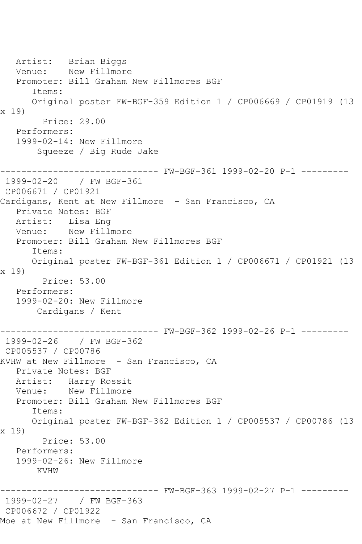Artist: Brian Biggs Venue: New Fillmore Promoter: Bill Graham New Fillmores BGF Items: Original poster FW-BGF-359 Edition 1 / CP006669 / CP01919 (13 x 19) Price: 29.00 Performers: 1999-02-14: New Fillmore Squeeze / Big Rude Jake ------------------------------ FW-BGF-361 1999-02-20 P-1 --------- 1999-02-20 / FW BGF-361 CP006671 / CP01921 Cardigans, Kent at New Fillmore - San Francisco, CA Private Notes: BGF Artist: Lisa Eng Venue: New Fillmore Promoter: Bill Graham New Fillmores BGF Items: Original poster FW-BGF-361 Edition 1 / CP006671 / CP01921 (13 x 19) Price: 53.00 Performers: 1999-02-20: New Fillmore Cardigans / Kent ------------------------------ FW-BGF-362 1999-02-26 P-1 --------- 1999-02-26 / FW BGF-362 CP005537 / CP00786 KVHW at New Fillmore - San Francisco, CA Private Notes: BGF Artist: Harry Rossit<br>Venue: New Fillmore New Fillmore Promoter: Bill Graham New Fillmores BGF Items: Original poster FW-BGF-362 Edition 1 / CP005537 / CP00786 (13 x 19) Price: 53.00 Performers: 1999-02-26: New Fillmore KVHW ------------------------------ FW-BGF-363 1999-02-27 P-1 --------- 1999-02-27 / FW BGF-363 CP006672 / CP01922 Moe at New Fillmore - San Francisco, CA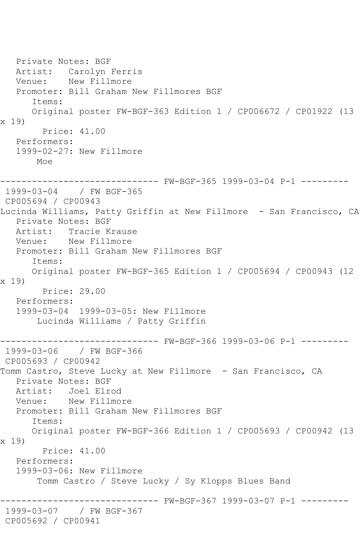Private Notes: BGF Artist: Carolyn Ferris Venue: New Fillmore Promoter: Bill Graham New Fillmores BGF Items: Original poster FW-BGF-363 Edition 1 / CP006672 / CP01922 (13 x 19) Price: 41.00 Performers: 1999-02-27: New Fillmore Moe ------------------------------ FW-BGF-365 1999-03-04 P-1 --------- 1999-03-04 / FW BGF-365 CP005694 / CP00943 Lucinda Williams, Patty Griffin at New Fillmore - San Francisco, CA Private Notes: BGF Artist: Tracie Krause<br>Venue: New Fillmore New Fillmore Promoter: Bill Graham New Fillmores BGF Items: Original poster FW-BGF-365 Edition 1 / CP005694 / CP00943 (12 x 19) Price: 29.00 Performers: 1999-03-04 1999-03-05: New Fillmore Lucinda Williams / Patty Griffin ----------- FW-BGF-366 1999-03-06 P-1 ---------1999-03-06 / FW BGF-366 CP005693 / CP00942 Tomm Castro, Steve Lucky at New Fillmore - San Francisco, CA Private Notes: BGF Artist: Joel Elrod Venue: New Fillmore Promoter: Bill Graham New Fillmores BGF Items: Original poster FW-BGF-366 Edition 1 / CP005693 / CP00942 (13 x 19) Price: 41.00 Performers: 1999-03-06: New Fillmore Tomm Castro / Steve Lucky / Sy Klopps Blues Band ------------------------------ FW-BGF-367 1999-03-07 P-1 --------- 1999-03-07 / FW BGF-367 CP005692 / CP00941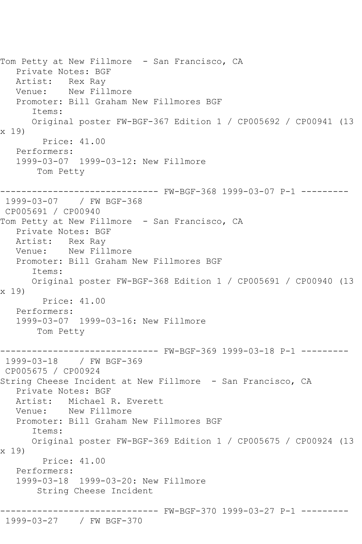```
Tom Petty at New Fillmore - San Francisco, CA
   Private Notes: BGF
   Artist: Rex Ray
   Venue: New Fillmore
   Promoter: Bill Graham New Fillmores BGF
      Items:
      Original poster FW-BGF-367 Edition 1 / CP005692 / CP00941 (13 
x 19)
         Price: 41.00
   Performers:
   1999-03-07 1999-03-12: New Fillmore
       Tom Petty
------------------------------ FW-BGF-368 1999-03-07 P-1 ---------
1999-03-07 / FW BGF-368
CP005691 / CP00940
Tom Petty at New Fillmore - San Francisco, CA
   Private Notes: BGF
   Artist: Rex Ray
   Venue: New Fillmore
   Promoter: Bill Graham New Fillmores BGF
      Items:
      Original poster FW-BGF-368 Edition 1 / CP005691 / CP00940 (13 
x 19)
         Price: 41.00
   Performers:
   1999-03-07 1999-03-16: New Fillmore
       Tom Petty
------------------------------ FW-BGF-369 1999-03-18 P-1 ---------
1999-03-18 / FW BGF-369
CP005675 / CP00924
String Cheese Incident at New Fillmore - San Francisco, CA
   Private Notes: BGF
   Artist: Michael R. Everett
   Venue: New Fillmore
   Promoter: Bill Graham New Fillmores BGF
      Items:
      Original poster FW-BGF-369 Edition 1 / CP005675 / CP00924 (13 
x 19)
         Price: 41.00
   Performers:
   1999-03-18 1999-03-20: New Fillmore
        String Cheese Incident
------------------------------ FW-BGF-370 1999-03-27 P-1 ---------
1999-03-27 / FW BGF-370
```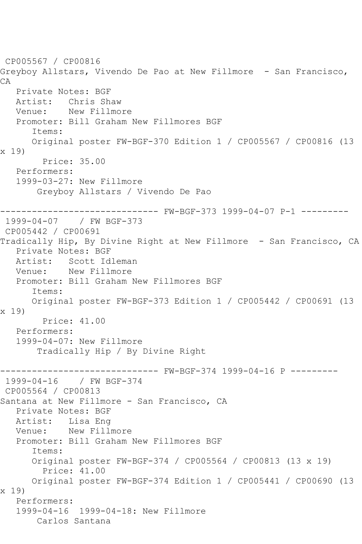CP005567 / CP00816 Greyboy Allstars, Vivendo De Pao at New Fillmore - San Francisco, CA Private Notes: BGF Artist: Chris Shaw Venue: New Fillmore Promoter: Bill Graham New Fillmores BGF Items: Original poster FW-BGF-370 Edition 1 / CP005567 / CP00816 (13 x 19) Price: 35.00 Performers: 1999-03-27: New Fillmore Greyboy Allstars / Vivendo De Pao ------------------------------ FW-BGF-373 1999-04-07 P-1 --------- 1999-04-07 / FW BGF-373 CP005442 / CP00691 Tradically Hip, By Divine Right at New Fillmore - San Francisco, CA Private Notes: BGF Artist: Scott Idleman Venue: New Fillmore Promoter: Bill Graham New Fillmores BGF Items: Original poster FW-BGF-373 Edition 1 / CP005442 / CP00691 (13 x 19) Price: 41.00 Performers: 1999-04-07: New Fillmore Tradically Hip / By Divine Right ------------------------------ FW-BGF-374 1999-04-16 P --------- 1999-04-16 / FW BGF-374 CP005564 / CP00813 Santana at New Fillmore - San Francisco, CA Private Notes: BGF Artist: Lisa Eng Venue: New Fillmore Promoter: Bill Graham New Fillmores BGF Items: Original poster FW-BGF-374 / CP005564 / CP00813 (13 x 19) Price: 41.00 Original poster FW-BGF-374 Edition 1 / CP005441 / CP00690 (13 x 19) Performers: 1999-04-16 1999-04-18: New Fillmore Carlos Santana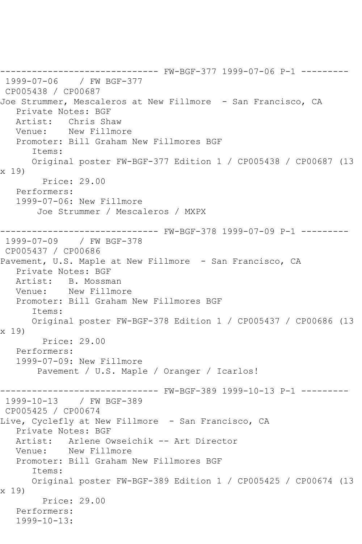------------------------------ FW-BGF-377 1999-07-06 P-1 --------- 1999-07-06 / FW BGF-377 CP005438 / CP00687 Joe Strummer, Mescaleros at New Fillmore - San Francisco, CA Private Notes: BGF Artist: Chris Shaw Venue: New Fillmore Promoter: Bill Graham New Fillmores BGF Items: Original poster FW-BGF-377 Edition 1 / CP005438 / CP00687 (13 x 19) Price: 29.00 Performers: 1999-07-06: New Fillmore Joe Strummer / Mescaleros / MXPX ------------------------------ FW-BGF-378 1999-07-09 P-1 --------- 1999-07-09 / FW BGF-378 CP005437 / CP00686 Pavement, U.S. Maple at New Fillmore - San Francisco, CA Private Notes: BGF Artist: B. Mossman Venue: New Fillmore Promoter: Bill Graham New Fillmores BGF Items: Original poster FW-BGF-378 Edition 1 / CP005437 / CP00686 (13 x 19) Price: 29.00 Performers: 1999-07-09: New Fillmore Pavement / U.S. Maple / Oranger / Icarlos! ------------------------------ FW-BGF-389 1999-10-13 P-1 --------- 1999-10-13 / FW BGF-389 CP005425 / CP00674 Live, Cyclefly at New Fillmore - San Francisco, CA Private Notes: BGF Artist: Arlene Owseichik -- Art Director<br>Venue: New Fillmore New Fillmore Promoter: Bill Graham New Fillmores BGF Items: Original poster FW-BGF-389 Edition 1 / CP005425 / CP00674 (13 x 19) Price: 29.00 Performers: 1999-10-13: